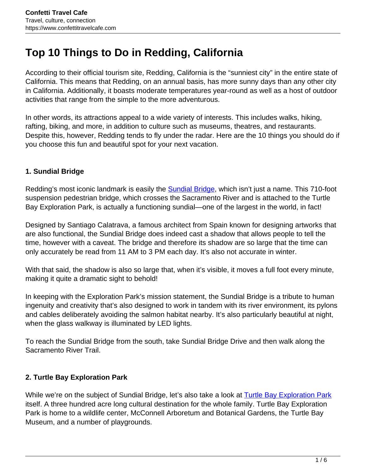# **Top 10 Things to Do in Redding, California**

According to their official tourism site, Redding, California is the "sunniest city" in the entire state of California. This means that Redding, on an annual basis, has more sunny days than any other city in California. Additionally, it boasts moderate temperatures year-round as well as a host of outdoor activities that range from the simple to the more adventurous.

In other words, its attractions appeal to a wide variety of interests. This includes walks, hiking, rafting, biking, and more, in addition to culture such as museums, theatres, and restaurants. Despite this, however, Redding tends to fly under the radar. Here are the 10 things you should do if you choose this fun and beautiful spot for your next vacation.

### **1. Sundial Bridge**

Redding's most iconic landmark is easily the **Sundial Bridge**, which isn't just a name. This 710-foot suspension pedestrian bridge, which crosses the Sacramento River and is attached to the Turtle Bay Exploration Park, is actually a functioning sundial—one of the largest in the world, in fact!

Designed by Santiago Calatrava, a famous architect from Spain known for designing artworks that are also functional, the Sundial Bridge does indeed cast a shadow that allows people to tell the time, however with a caveat. The bridge and therefore its shadow are so large that the time can only accurately be read from 11 AM to 3 PM each day. It's also not accurate in winter.

With that said, the shadow is also so large that, when it's visible, it moves a full foot every minute, making it quite a dramatic sight to behold!

In keeping with the Exploration Park's mission statement, the Sundial Bridge is a tribute to human ingenuity and creativity that's also designed to work in tandem with its river environment, its pylons and cables deliberately avoiding the salmon habitat nearby. It's also particularly beautiful at night, when the glass walkway is illuminated by LED lights.

To reach the Sundial Bridge from the south, take Sundial Bridge Drive and then walk along the Sacramento River Trail.

#### **2. Turtle Bay Exploration Park**

While we're on the subject of Sundial Bridge, let's also take a look at Turtle Bay Exploration Park itself. A three hundred acre long cultural destination for the whole family. Turtle Bay Exploration Park is home to a wildlife center, McConnell Arboretum and Botanical Gardens, the Turtle Bay Museum, and a number of playgrounds.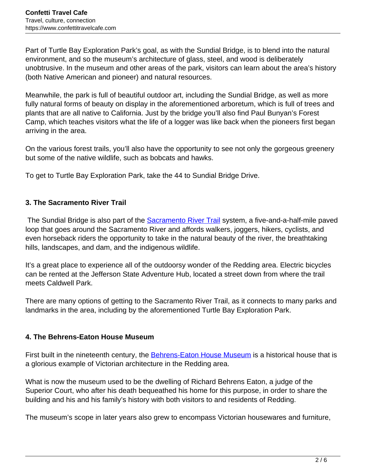Part of Turtle Bay Exploration Park's goal, as with the Sundial Bridge, is to blend into the natural environment, and so the museum's architecture of glass, steel, and wood is deliberately unobtrusive. In the museum and other areas of the park, visitors can learn about the area's history (both Native American and pioneer) and natural resources.

Meanwhile, the park is full of beautiful outdoor art, including the Sundial Bridge, as well as more fully natural forms of beauty on display in the aforementioned arboretum, which is full of trees and plants that are all native to California. Just by the bridge you'll also find Paul Bunyan's Forest Camp, which teaches visitors what the life of a logger was like back when the pioneers first began arriving in the area.

On the various forest trails, you'll also have the opportunity to see not only the gorgeous greenery but some of the native wildlife, such as bobcats and hawks.

To get to Turtle Bay Exploration Park, take the 44 to Sundial Bridge Drive.

#### **3. The Sacramento River Trail**

The Sundial Bridge is also part of the Sacramento River Trail system, a five-and-a-half-mile paved loop that goes around the Sacramento River and affords walkers, joggers, hikers, cyclists, and even horseback riders the opportunity to take in the natural beauty of the river, the breathtaking hills, landscapes, and dam, and the indigenous wildlife.

It's a great place to experience all of the outdoorsy wonder of the Redding area. Electric bicycles can be rented at the Jefferson State Adventure Hub, located a street down from where the trail meets Caldwell Park.

There are many options of getting to the Sacramento River Trail, as it connects to many parks and landmarks in the area, including by the aforementioned Turtle Bay Exploration Park.

#### **4. The Behrens-Eaton House Museum**

First built in the nineteenth century, the **Behrens-Eaton House Museum** is a historical house that is a glorious example of Victorian architecture in the Redding area.

What is now the museum used to be the dwelling of Richard Behrens Eaton, a judge of the Superior Court, who after his death bequeathed his home for this purpose, in order to share the building and his and his family's history with both visitors to and residents of Redding.

The museum's scope in later years also grew to encompass Victorian housewares and furniture,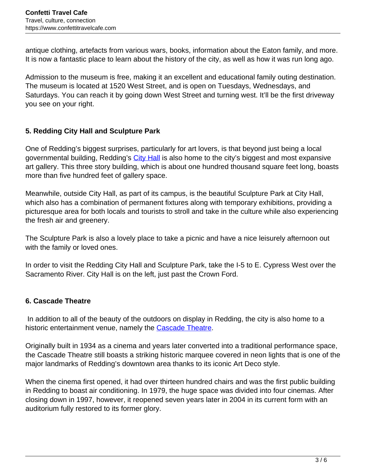antique clothing, artefacts from various wars, books, information about the Eaton family, and more. It is now a fantastic place to learn about the history of the city, as well as how it was run long ago.

Admission to the museum is free, making it an excellent and educational family outing destination. The museum is located at 1520 West Street, and is open on Tuesdays, Wednesdays, and Saturdays. You can reach it by going down West Street and turning west. It'll be the first driveway you see on your right.

### **5. Redding City Hall and Sculpture Park**

One of Redding's biggest surprises, particularly for art lovers, is that beyond just being a local governmental building, Redding's City Hall is also home to the city's biggest and most expansive art gallery. This three story building, which is about one hundred thousand square feet long, boasts more than five hundred feet of gallery space.

Meanwhile, outside City Hall, as part of its campus, is the beautiful Sculpture Park at City Hall, which also has a combination of permanent fixtures along with temporary exhibitions, providing a picturesque area for both locals and tourists to stroll and take in the culture while also experiencing the fresh air and greenery.

The Sculpture Park is also a lovely place to take a picnic and have a nice leisurely afternoon out with the family or loved ones.

In order to visit the Redding City Hall and Sculpture Park, take the I-5 to E. Cypress West over the Sacramento River. City Hall is on the left, just past the Crown Ford.

## **6. Cascade Theatre**

In addition to all of the beauty of the outdoors on display in Redding, the city is also home to a historic entertainment venue, namely the Cascade Theatre.

Originally built in 1934 as a cinema and years later converted into a traditional performance space, the Cascade Theatre still boasts a striking historic marquee covered in neon lights that is one of the major landmarks of Redding's downtown area thanks to its iconic Art Deco style.

When the cinema first opened, it had over thirteen hundred chairs and was the first public building in Redding to boast air conditioning. In 1979, the huge space was divided into four cinemas. After closing down in 1997, however, it reopened seven years later in 2004 in its current form with an auditorium fully restored to its former glory.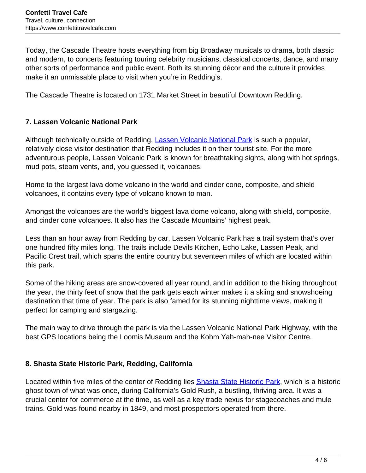Today, the Cascade Theatre hosts everything from big Broadway musicals to drama, both classic and modern, to concerts featuring touring celebrity musicians, classical concerts, dance, and many other sorts of performance and public event. Both its stunning décor and the culture it provides make it an unmissable place to visit when you're in Redding's.

The Cascade Theatre is located on 1731 Market Street in beautiful Downtown Redding.

#### **7. Lassen Volcanic National Park**

Although technically outside of Redding, Lassen Volcanic National Park is such a popular, relatively close visitor destination that Redding includes it on their tourist site. For the more adventurous people, Lassen Volcanic Park is known for breathtaking sights, along with hot springs, mud pots, steam vents, and, you guessed it, volcanoes.

Home to the largest lava dome volcano in the world and cinder cone, composite, and shield volcanoes, it contains every type of volcano known to man.

Amongst the volcanoes are the world's biggest lava dome volcano, along with shield, composite, and cinder cone volcanoes. It also has the Cascade Mountains' highest peak.

Less than an hour away from Redding by car, Lassen Volcanic Park has a trail system that's over one hundred fifty miles long. The trails include Devils Kitchen, Echo Lake, Lassen Peak, and Pacific Crest trail, which spans the entire country but seventeen miles of which are located within this park.

Some of the hiking areas are snow-covered all year round, and in addition to the hiking throughout the year, the thirty feet of snow that the park gets each winter makes it a skiing and snowshoeing destination that time of year. The park is also famed for its stunning nighttime views, making it perfect for camping and stargazing.

The main way to drive through the park is via the Lassen Volcanic National Park Highway, with the best GPS locations being the Loomis Museum and the Kohm Yah-mah-nee Visitor Centre.

#### **8. Shasta State Historic Park, Redding, California**

Located within five miles of the center of Redding lies Shasta State Historic Park, which is a historic ghost town of what was once, during California's Gold Rush, a bustling, thriving area. It was a crucial center for commerce at the time, as well as a key trade nexus for stagecoaches and mule trains. Gold was found nearby in 1849, and most prospectors operated from there.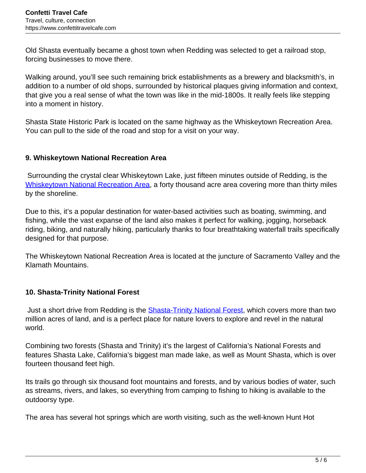Old Shasta eventually became a ghost town when Redding was selected to get a railroad stop, forcing businesses to move there.

Walking around, you'll see such remaining brick establishments as a brewery and blacksmith's, in addition to a number of old shops, surrounded by historical plaques giving information and context, that give you a real sense of what the town was like in the mid-1800s. It really feels like stepping into a moment in history.

Shasta State Historic Park is located on the same highway as the Whiskeytown Recreation Area. You can pull to the side of the road and stop for a visit on your way.

#### **9. Whiskeytown National Recreation Area**

Surrounding the crystal clear Whiskeytown Lake, just fifteen minutes outside of Redding, is the Whiskeytown National Recreation Area, a forty thousand acre area covering more than thirty miles by the shoreline.

Due to this, it's a popular destination for water-based activities such as boating, swimming, and fishing, while the vast expanse of the land also makes it perfect for walking, jogging, horseback riding, biking, and naturally hiking, particularly thanks to four breathtaking waterfall trails specifically designed for that purpose.

The Whiskeytown National Recreation Area is located at the juncture of Sacramento Valley and the Klamath Mountains.

## **10. Shasta-Trinity National Forest**

Just a short drive from Redding is the **Shasta-Trinity National Forest**, which covers more than two million acres of land, and is a perfect place for nature lovers to explore and revel in the natural world.

Combining two forests (Shasta and Trinity) it's the largest of California's National Forests and features Shasta Lake, California's biggest man made lake, as well as Mount Shasta, which is over fourteen thousand feet high.

Its trails go through six thousand foot mountains and forests, and by various bodies of water, such as streams, rivers, and lakes, so everything from camping to fishing to hiking is available to the outdoorsy type.

The area has several hot springs which are worth visiting, such as the well-known Hunt Hot